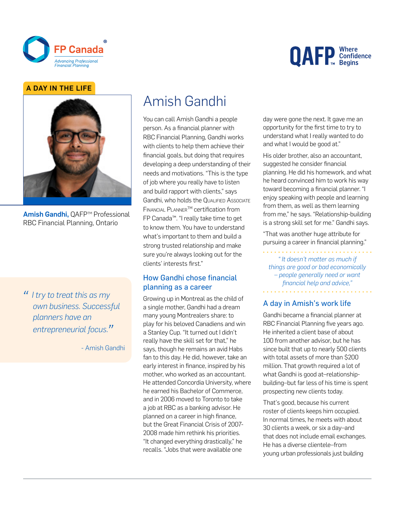

# **QAFP** Confidence

#### A DAY IN THE LIFE



Amish Gandhi, OAFP™ Professional RBC Financial Planning, Ontario

*"I try to treat this as my own business. Successful planners have an entrepreneurial focus."*

- Amish Gandhi

# Amish Gandhi

You can call Amish Gandhi a people person. As a financial planner with RBC Financial Planning, Gandhi works with clients to help them achieve their financial goals, but doing that requires developing a deep understanding of their needs and motivations. "This is the type of job where you really have to listen and build rapport with clients," says Gandhi, who holds the QUALIFIED Associate Financial PlannerTM certification from FP Canada™. "I really take time to get to know them. You have to understand what's important to them and build a strong trusted relationship and make sure you're always looking out for the clients' interests first."

### How Gandhi chose financial planning as a career

Growing up in Montreal as the child of a single mother, Gandhi had a dream many young Montrealers share: to play for his beloved Canadiens and win a Stanley Cup. "It turned out I didn't really have the skill set for that," he says, though he remains an avid Habs fan to this day. He did, however, take an early interest in finance, inspired by his mother, who worked as an accountant. He attended Concordia University, where he earned his Bachelor of Commerce, and in 2006 moved to Toronto to take a job at RBC as a banking advisor. He planned on a career in high finance, but the Great Financial Crisis of 2007- 2008 made him rethink his priorities. "It changed everything drastically," he recalls. "Jobs that were available one

day were gone the next. It gave me an opportunity for the first time to try to understand what I really wanted to do and what I would be good at."

His older brother, also an accountant, suggested he consider financial planning. He did his homework, and what he heard convinced him to work his way toward becoming a financial planner. "I enjoy speaking with people and learning from them, as well as them learning from me," he says. "Relationship-building is a strong skill set for me." Gandhi says.

"That was another huge attribute for pursuing a career in financial planning."

*" It doesn't matter as much if things are good or bad economically – people generally need or want financial help and advice,"*

## A day in Amish's work life

Gandhi became a financial planner at RBC Financial Planning five years ago. He inherited a client base of about 100 from another advisor, but he has since built that up to nearly 500 clients with total assets of more than \$200 million. That growth required a lot of what Gandhi is good at–relationshipbuilding–but far less of his time is spent prospecting new clients today.

That's good, because his current roster of clients keeps him occupied. In normal times, he meets with about 30 clients a week, or six a day–and that does not include email exchanges. He has a diverse clientele–from young urban professionals just building